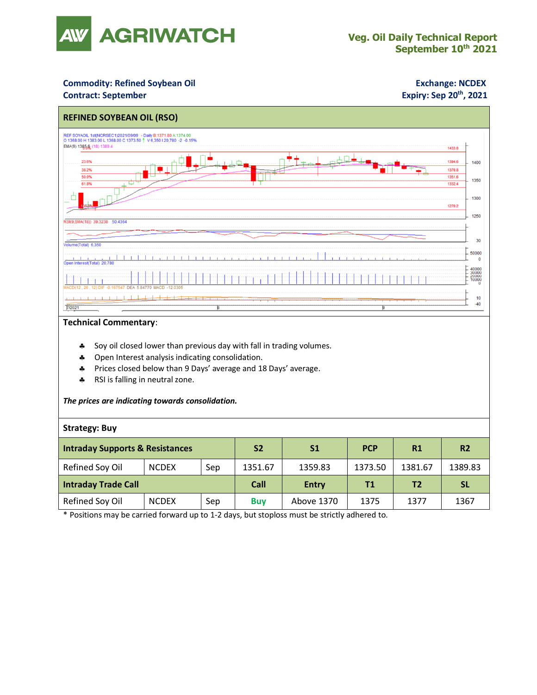

### **Commodity: Refined Soybean Oil <b>Exchange: NCDEX**

#### **Contract: September**

## **Expiry: Sep 20<sup>th</sup>, 2021**



#### **Technical Commentary**:

- Soy oil closed lower than previous day with fall in trading volumes.
- \* Open Interest analysis indicating consolidation.
- Prices closed below than 9 Days' average and 18 Days' average.
- \* RSI is falling in neutral zone.

#### *The prices are indicating towards consolidation.*

### **Strategy: Buy**

| <b>Intraday Supports &amp; Resistances</b> |              |     | <b>S2</b>  | S <sub>1</sub> | <b>PCP</b> | R1             | R <sub>2</sub> |
|--------------------------------------------|--------------|-----|------------|----------------|------------|----------------|----------------|
| Refined Soy Oil                            | <b>NCDEX</b> | Sep | 1351.67    | 1359.83        | 1373.50    | 1381.67        | 1389.83        |
| <b>Intraday Trade Call</b>                 |              |     | Call       | <b>Entry</b>   | T1         | T <sub>2</sub> | <b>SL</b>      |
| Refined Soy Oil                            | <b>NCDEX</b> | Sep | <b>Buv</b> | Above 1370     | 1375       | 1377           | 1367           |

\* Positions may be carried forward up to 1-2 days, but stoploss must be strictly adhered to.